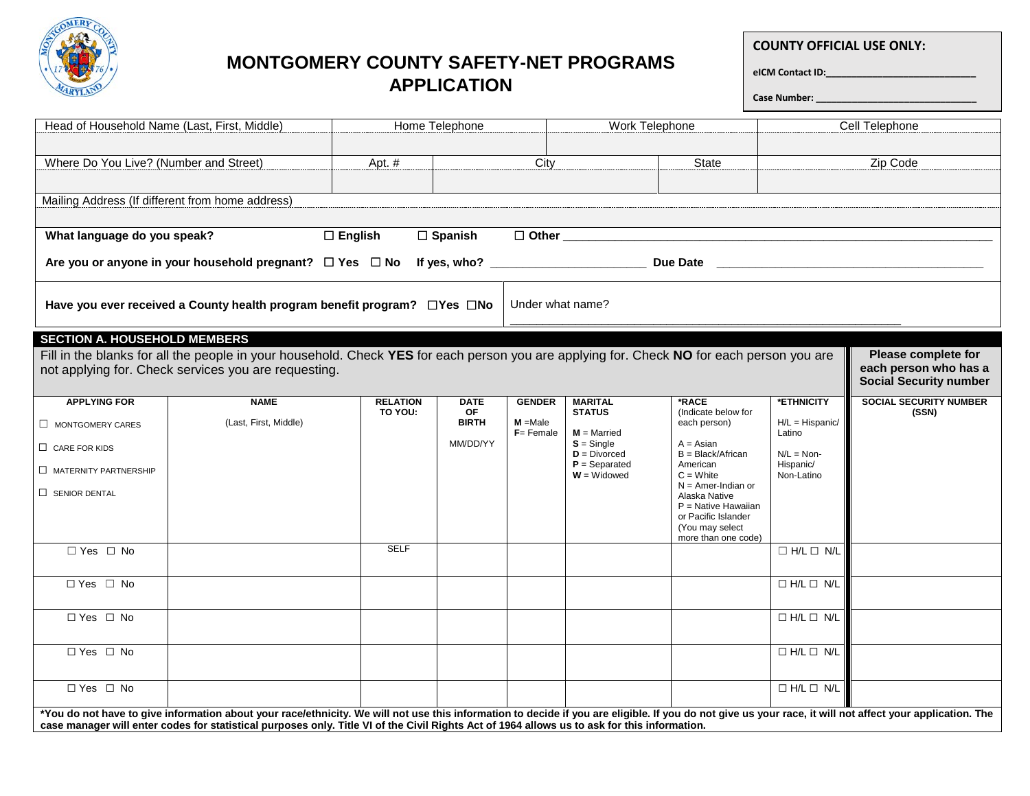

## **MONTGOMERY COUNTY SAFETY-NET PROGRAMS APPLICATION**

**COUNTY OFFICIAL USE ONLY:**

**eICM Contact ID:\_\_\_\_\_\_\_\_\_\_\_\_\_\_\_\_\_\_\_\_\_\_\_\_\_\_\_\_\_** 

**Case Number: \_\_\_\_\_\_\_\_\_\_\_\_\_\_\_\_\_\_\_\_\_\_\_\_\_\_\_\_\_\_\_**

| Head of Household Name (Last, First, Middle)                                                                                                                                                                                                                                                                                                              |                                                  |                            | Home Telephone           |               | Work Telephone                    |                                        |                            | Cell Telephone                         |  |
|-----------------------------------------------------------------------------------------------------------------------------------------------------------------------------------------------------------------------------------------------------------------------------------------------------------------------------------------------------------|--------------------------------------------------|----------------------------|--------------------------|---------------|-----------------------------------|----------------------------------------|----------------------------|----------------------------------------|--|
|                                                                                                                                                                                                                                                                                                                                                           |                                                  |                            |                          |               |                                   |                                        |                            |                                        |  |
| Where Do You Live? (Number and Street)                                                                                                                                                                                                                                                                                                                    |                                                  | Apt. #                     |                          |               |                                   | <b>State</b>                           | Zip Code                   |                                        |  |
|                                                                                                                                                                                                                                                                                                                                                           |                                                  |                            |                          |               |                                   |                                        |                            |                                        |  |
|                                                                                                                                                                                                                                                                                                                                                           | Mailing Address (If different from home address) |                            |                          |               |                                   |                                        |                            |                                        |  |
|                                                                                                                                                                                                                                                                                                                                                           |                                                  |                            |                          |               |                                   |                                        |                            |                                        |  |
| $\Box$ English<br>$\Box$ Spanish<br>What language do you speak?                                                                                                                                                                                                                                                                                           |                                                  |                            |                          |               |                                   |                                        |                            |                                        |  |
|                                                                                                                                                                                                                                                                                                                                                           |                                                  |                            |                          |               |                                   |                                        |                            |                                        |  |
| Under what name?<br>Have you ever received a County health program benefit program? □ Yes □ No                                                                                                                                                                                                                                                            |                                                  |                            |                          |               |                                   |                                        |                            |                                        |  |
| <b>SECTION A. HOUSEHOLD MEMBERS</b><br>Fill in the blanks for all the people in your household. Check YES for each person you are applying for. Check NO for each person you are<br><b>Please complete for</b><br>each person who has a<br>not applying for. Check services you are requesting.<br><b>Social Security number</b>                          |                                                  |                            |                          |               |                                   |                                        |                            |                                        |  |
| <b>APPLYING FOR</b>                                                                                                                                                                                                                                                                                                                                       | <b>NAME</b>                                      | <b>RELATION</b><br>TO YOU: | <b>DATE</b><br><b>OF</b> | <b>GENDER</b> | <b>MARITAL</b><br><b>STATUS</b>   | *RACE<br>(Indicate below for           | *ETHNICITY                 | <b>SOCIAL SECURITY NUMBER</b><br>(SSN) |  |
| MONTGOMERY CARES                                                                                                                                                                                                                                                                                                                                          | (Last, First, Middle)                            |                            | <b>BIRTH</b>             | $M = Male$    |                                   | each person)                           | $H/L = Hispanic/$          |                                        |  |
| $\Box$ CARE FOR KIDS                                                                                                                                                                                                                                                                                                                                      |                                                  |                            | MM/DD/YY                 | $F =$ Female  | $M =$ Married<br>$S =$ Single     | $A = Asian$                            | Latino                     |                                        |  |
| $\Box$ MATERNITY PARTNERSHIP                                                                                                                                                                                                                                                                                                                              |                                                  |                            |                          |               | $D = Divorced$<br>$P =$ Separated | $B = Black/African$<br>American        | $N/L = N$ on-<br>Hispanic/ |                                        |  |
|                                                                                                                                                                                                                                                                                                                                                           |                                                  |                            |                          |               | $W = Widowed$                     | $C = White$<br>$N =$ Amer-Indian or    | Non-Latino                 |                                        |  |
| $\Box$ SENIOR DENTAL                                                                                                                                                                                                                                                                                                                                      |                                                  |                            |                          |               |                                   | Alaska Native<br>$P =$ Native Hawaiian |                            |                                        |  |
|                                                                                                                                                                                                                                                                                                                                                           |                                                  |                            |                          |               |                                   | or Pacific Islander                    |                            |                                        |  |
|                                                                                                                                                                                                                                                                                                                                                           |                                                  |                            |                          |               |                                   | (You may select<br>more than one code) |                            |                                        |  |
| $\Box$ Yes $\Box$ No                                                                                                                                                                                                                                                                                                                                      |                                                  | <b>SELF</b>                |                          |               |                                   |                                        | $\Box$ H/L $\Box$ N/L      |                                        |  |
| $\Box$ Yes $\Box$ No                                                                                                                                                                                                                                                                                                                                      |                                                  |                            |                          |               |                                   |                                        | $\Box$ H/L $\Box$ N/L      |                                        |  |
|                                                                                                                                                                                                                                                                                                                                                           |                                                  |                            |                          |               |                                   |                                        |                            |                                        |  |
| $\Box$ Yes $\Box$ No                                                                                                                                                                                                                                                                                                                                      |                                                  |                            |                          |               |                                   |                                        | $\Box$ H/L $\Box$ N/L      |                                        |  |
|                                                                                                                                                                                                                                                                                                                                                           |                                                  |                            |                          |               |                                   |                                        |                            |                                        |  |
| □ Yes □ No                                                                                                                                                                                                                                                                                                                                                |                                                  |                            |                          |               |                                   |                                        | $\Box$ H/L $\Box$ N/L      |                                        |  |
|                                                                                                                                                                                                                                                                                                                                                           |                                                  |                            |                          |               |                                   |                                        |                            |                                        |  |
| $\Box$ Yes $\Box$ No                                                                                                                                                                                                                                                                                                                                      |                                                  |                            |                          |               |                                   |                                        | $\Box$ H/L $\Box$ N/L      |                                        |  |
| *You do not have to give information about your race/ethnicity. We will not use this information to decide if you are eligible. If you do not give us your race, it will not affect your application. The<br>case manager will enter codes for statistical purposes only. Title VI of the Civil Rights Act of 1964 allows us to ask for this information. |                                                  |                            |                          |               |                                   |                                        |                            |                                        |  |
|                                                                                                                                                                                                                                                                                                                                                           |                                                  |                            |                          |               |                                   |                                        |                            |                                        |  |